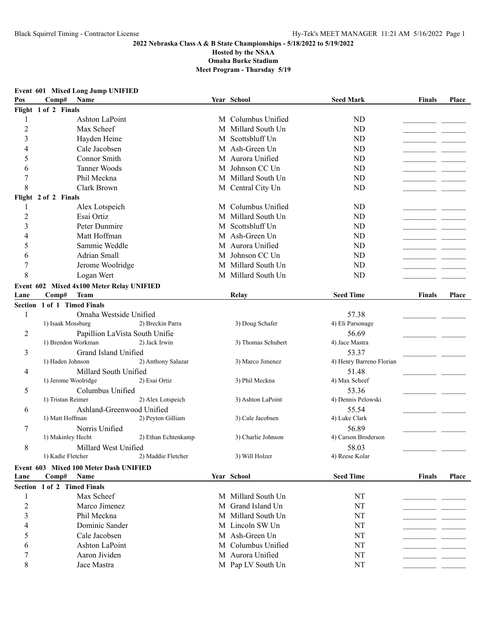## **2022 Nebraska Class A & B State Championships - 5/18/2022 to 5/19/2022**

**Hosted by the NSAA**

**Omaha Burke Stadium Meet Program - Thursday 5/19**

|  | Event 601 Mixed Long Jump UNIFIED |  |
|--|-----------------------------------|--|
|--|-----------------------------------|--|

| Pos            | Comp#                       | Name                                      |                     | Year School        | <b>Seed Mark</b>         | Finals        | Place |
|----------------|-----------------------------|-------------------------------------------|---------------------|--------------------|--------------------------|---------------|-------|
|                | Flight 1 of 2 Finals        |                                           |                     |                    |                          |               |       |
| 1              |                             | Ashton LaPoint                            |                     | M Columbus Unified | ND                       |               |       |
| $\overline{c}$ |                             | Max Scheef                                |                     | M Millard South Un | ND                       |               |       |
| 3              |                             | Hayden Heine                              |                     | M Scottsbluff Un   | ND                       |               |       |
| 4              |                             | Cale Jacobsen                             |                     | M Ash-Green Un     | ND                       |               |       |
| 5              |                             | Connor Smith                              |                     | M Aurora Unified   | ND                       |               |       |
| 6              |                             | Tanner Woods                              |                     | M Johnson CC Un    | ND                       |               |       |
| 7              |                             | Phil Meckna                               |                     | M Millard South Un | ND                       |               |       |
| 8              |                             | Clark Brown                               |                     | M Central City Un  | ND                       |               |       |
|                | Flight 2 of 2 Finals        |                                           |                     |                    |                          |               |       |
|                |                             | Alex Lotspeich                            |                     | M Columbus Unified | ND                       |               |       |
| $\overline{c}$ |                             | Esai Ortiz                                |                     | M Millard South Un | ND                       |               |       |
| 3              |                             | Peter Dunmire                             |                     | M Scottsbluff Un   | ND                       |               |       |
| 4              |                             | Matt Hoffman                              |                     | M Ash-Green Un     | ND                       |               |       |
| 5              |                             | Sammie Weddle                             |                     | M Aurora Unified   | ND                       |               |       |
| 6              |                             | Adrian Small                              |                     | M Johnson CC Un    | ND                       |               |       |
| 7              |                             | Jerome Woolridge                          |                     | M Millard South Un | ND                       |               |       |
| 8              |                             | Logan Wert                                |                     | M Millard South Un | ND                       |               |       |
|                |                             | Event 602 Mixed 4x100 Meter Relay UNIFIED |                     |                    |                          |               |       |
| Lane           | Comp#                       | Team                                      |                     | Relay              | <b>Seed Time</b>         | <b>Finals</b> | Place |
|                | Section 1 of 1 Timed Finals |                                           |                     |                    |                          |               |       |
| 1              |                             | Omaha Westside Unified                    |                     |                    | 57.38                    |               |       |
|                | 1) Isaak Mossburg           |                                           | 2) Breckin Parra    | 3) Doug Schafer    | 4) Eli Parsonage         |               |       |
| 2              |                             | Papillion LaVista South Unifie            |                     |                    | 56.69                    |               |       |
|                | 1) Brendon Workman          |                                           | 2) Jack Irwin       | 3) Thomas Schubert | 4) Jace Mastra           |               |       |
| 3              |                             | Grand Island Unified                      |                     |                    | 53.37                    |               |       |
|                | 1) Haden Johnson            |                                           | 2) Anthony Salazar  | 3) Marco Jimenez   | 4) Henry Barreno Florian |               |       |
| 4              |                             | Millard South Unified                     |                     |                    | 51.48                    |               |       |
|                | 1) Jerome Woolridge         |                                           | 2) Esai Ortiz       | 3) Phil Meckna     | 4) Max Scheef            |               |       |
| 5              |                             | Columbus Unified                          |                     |                    | 53.36                    |               |       |
|                | 1) Tristan Reimer           |                                           | 2) Alex Lotspeich   | 3) Ashton LaPoint  | 4) Dennis Pelowski       |               |       |
| 6              |                             | Ashland-Greenwood Unified                 |                     |                    | 55.54                    |               |       |
|                | 1) Matt Hoffman             |                                           | 2) Peyton Gilliam   | 3) Cale Jacobsen   | 4) Luke Clark            |               |       |
| 7              |                             | Norris Unified                            |                     |                    | 56.89                    |               |       |
|                | 1) Makinley Hecht           |                                           | 2) Ethan Echtenkamp | 3) Charlie Johnson | 4) Carson Broderson      |               |       |
| 8              |                             | Millard West Unified                      |                     |                    | 58.03                    |               |       |
|                | 1) Kadie Fletcher           |                                           | 2) Maddie Fletcher  | 3) Will Holzer     | 4) Reese Kolar           |               |       |
|                |                             | Event 603 Mixed 100 Meter Dash UNIFIED    |                     |                    |                          |               |       |
| Lane           | Comp#                       | Name                                      |                     | Year School        | <b>Seed Time</b>         | <b>Finals</b> | Place |
|                | Section 1 of 2 Timed Finals |                                           |                     |                    |                          |               |       |
| 1              |                             | Max Scheef                                |                     | M Millard South Un | NT                       |               |       |
| $\overline{2}$ |                             | Marco Jimenez                             |                     | M Grand Island Un  | NT                       |               |       |
| 3              |                             | Phil Meckna                               |                     | M Millard South Un | NT                       |               |       |
| 4              |                             | Dominic Sander                            |                     | M Lincoln SW Un    | NT                       |               |       |
| 5              |                             | Cale Jacobsen                             |                     | M Ash-Green Un     | NT                       |               |       |
| 6              |                             | Ashton LaPoint                            |                     | M Columbus Unified | NT                       |               |       |
| 7              |                             | Aaron Jividen                             |                     | M Aurora Unified   | NT                       |               |       |
| 8              |                             | Jace Mastra                               |                     | M Pap LV South Un  | NT                       |               |       |